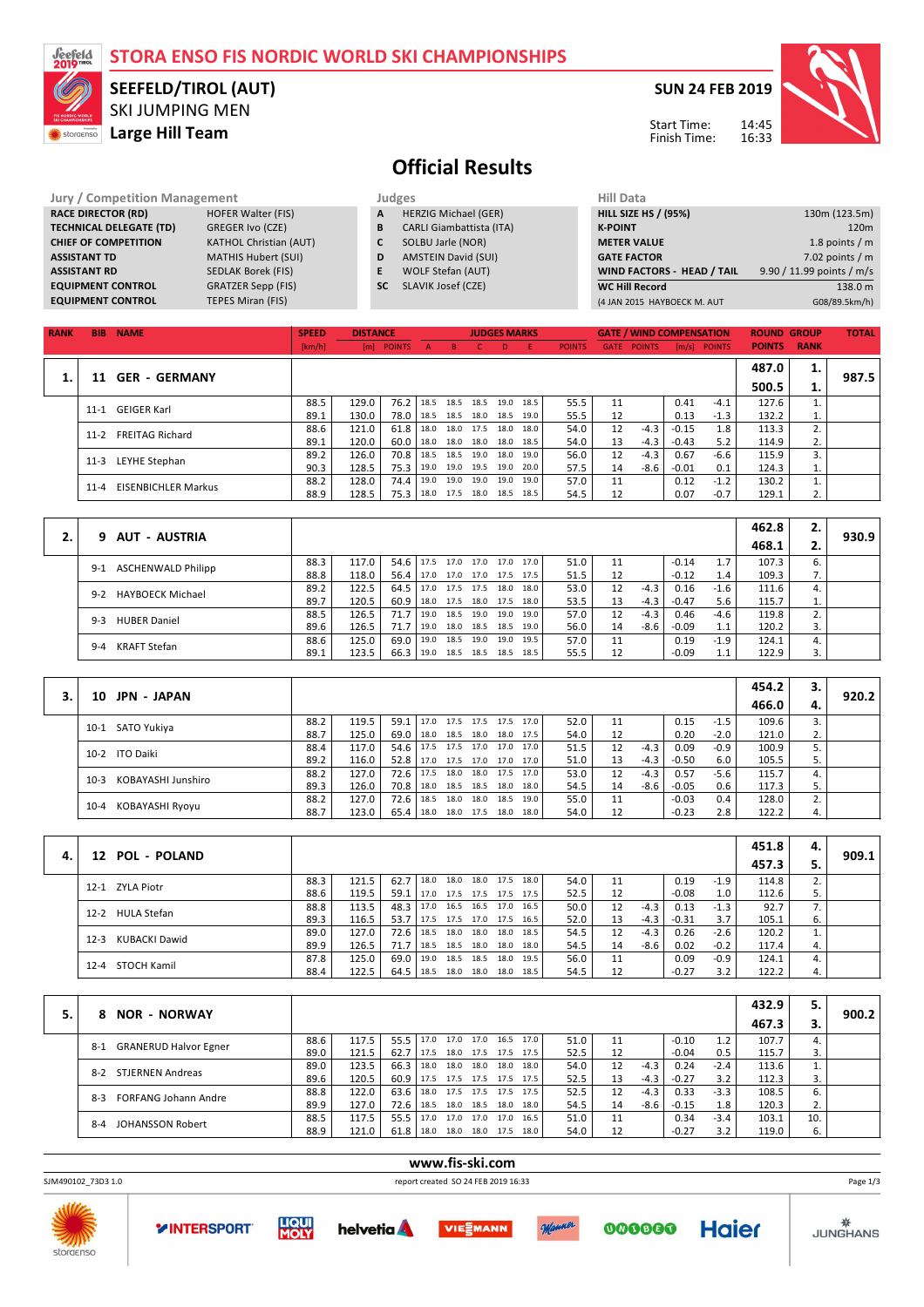| <i><b>Seefeld</b></i><br>2019 |                                                      | STORA ENSO FIS NORDIC WORLD SKI CHAMPIONSHIPS |              |                 |              |                                 |              |                     |              |               |                             |                  |                                 |               |                    |              |                           |
|-------------------------------|------------------------------------------------------|-----------------------------------------------|--------------|-----------------|--------------|---------------------------------|--------------|---------------------|--------------|---------------|-----------------------------|------------------|---------------------------------|---------------|--------------------|--------------|---------------------------|
|                               | <b>SEEFELD/TIROL (AUT)</b><br><b>SKI JUMPING MEN</b> |                                               |              |                 |              |                                 |              |                     |              |               |                             |                  | <b>SUN 24 FEB 2019</b>          |               |                    |              |                           |
| storaenso                     | Large Hill Team                                      |                                               |              |                 |              |                                 |              |                     |              |               |                             |                  | Start Time:<br>Finish Time:     |               | 14:45<br>16:33     |              |                           |
|                               |                                                      |                                               |              |                 |              | <b>Official Results</b>         |              |                     |              |               |                             |                  |                                 |               |                    |              |                           |
|                               | <b>Jury / Competition Management</b>                 |                                               |              |                 | Judges       |                                 |              |                     |              |               | <b>Hill Data</b>            |                  |                                 |               |                    |              |                           |
|                               | <b>RACE DIRECTOR (RD)</b>                            | <b>HOFER Walter (FIS)</b>                     |              | A               |              | <b>HERZIG Michael (GER)</b>     |              |                     |              |               | <b>HILL SIZE HS / (95%)</b> |                  |                                 |               |                    |              | 130m (123.5m)             |
|                               | <b>TECHNICAL DELEGATE (TD)</b>                       | GREGER Ivo (CZE)                              |              | B               |              | <b>CARLI Giambattista (ITA)</b> |              |                     |              |               | <b>K-POINT</b>              |                  |                                 |               |                    |              | 120 <sub>m</sub>          |
|                               | <b>CHIEF OF COMPETITION</b>                          | <b>KATHOL Christian (AUT)</b>                 |              | C               |              | SOLBU Jarle (NOR)               |              |                     |              |               | <b>METER VALUE</b>          |                  |                                 |               |                    |              | 1.8 points $/m$           |
|                               | <b>ASSISTANT TD</b>                                  | <b>MATHIS Hubert (SUI)</b>                    |              | D               |              | <b>AMSTEIN David (SUI)</b>      |              |                     |              |               | <b>GATE FACTOR</b>          |                  |                                 |               |                    |              | 7.02 points $/m$          |
|                               | <b>ASSISTANT RD</b>                                  | <b>SEDLAK Borek (FIS)</b>                     |              | E               |              | WOLF Stefan (AUT)               |              |                     |              |               |                             |                  | WIND FACTORS - HEAD / TAIL      |               |                    |              | 9.90 / 11.99 points / m/s |
|                               | <b>EQUIPMENT CONTROL</b>                             | <b>GRATZER Sepp (FIS)</b>                     |              |                 | <b>SC</b>    | SLAVIK Josef (CZE)              |              |                     |              |               | <b>WC Hill Record</b>       |                  |                                 |               |                    |              | 138.0 m                   |
|                               | <b>EQUIPMENT CONTROL</b>                             | <b>TEPES Miran (FIS)</b>                      |              |                 |              |                                 |              |                     |              |               |                             |                  | (4 JAN 2015 HAYBOECK M. AUT     |               |                    |              | G08/89.5km/h)             |
|                               |                                                      |                                               |              |                 |              |                                 |              |                     |              |               |                             |                  |                                 |               |                    |              |                           |
| <b>RANK</b>                   | <b>BIB</b><br><b>NAME</b>                            |                                               | <b>SPEED</b> | <b>DISTANCE</b> |              |                                 |              | <b>JUDGES MARKS</b> |              |               |                             |                  | <b>GATE / WIND COMPENSATION</b> |               | <b>ROUND GROUP</b> |              | <b>TOTAL</b>              |
|                               |                                                      |                                               | [km/h]       |                 | [m] POINTS   | A<br><b>B</b>                   | C.           | D.                  | Æ.           | <b>POINTS</b> | <b>GATE POINTS</b>          |                  | $[m/s]$ POINTS                  |               | <b>POINTS</b>      | <b>RANK</b>  |                           |
|                               |                                                      |                                               |              |                 |              |                                 |              |                     |              |               |                             |                  |                                 |               | 487.0              | 1.           |                           |
| 1.                            | 11<br><b>GER - GERMANY</b>                           |                                               |              |                 |              |                                 |              |                     |              |               |                             |                  |                                 |               | 500.5              | 1.           | 987.5                     |
|                               | <b>GEIGER Karl</b><br>$11 - 1$                       |                                               | 88.5         | 129.0           | 76.2         | 18.5<br>18.5                    | 18.5         | 19.0                | 18.5         | 55.5          | 11                          |                  | 0.41                            | $-4.1$        | 127.6              | 1.           |                           |
|                               |                                                      |                                               | 89.1         | 130.0           | 78.0         | 18.5<br>18.5                    | 18.0         | 18.5                | 19.0         | 55.5          | 12                          |                  | 0.13                            | $-1.3$        | 132.2              | $\mathbf{1}$ |                           |
|                               | <b>FREITAG Richard</b><br>$11-2$                     |                                               | 88.6         | 121.0           | 61.8         | 18.0<br>18.0                    | 17.5         | 18.0                | 18.0         | 54.0          | 12                          | $-4.3$           | $-0.15$                         | 1.8           | 113.3              | 2.           |                           |
|                               |                                                      |                                               | 89.1<br>89.2 | 120.0<br>126.0  | 60.0<br>70.8 | 18.0<br>18.0<br>18.5<br>18.5    | 18.0<br>19.0 | 18.0<br>18.0        | 18.5<br>19.0 | 54.0<br>56.0  | 13<br>12                    | $-4.3$<br>$-4.3$ | $-0.43$<br>0.67                 | 5.2<br>$-6.6$ | 114.9<br>115.9     | 2.<br>3.     |                           |
|                               | <b>LEYHE Stephan</b><br>$11-3$                       |                                               | 90.3         | 128.5           | 75.3         | 19.0                            | 19.0 19.5    | 19.0                | 20.0         | 57.5          | 14                          | $-8.6$           | $-0.01$                         | 0.1           | 124.3              | 1.           |                           |

|                                    |      |       |               |      |  |                     |      |      |    |        |         |        | 462.8 | 2.  |       |
|------------------------------------|------|-------|---------------|------|--|---------------------|------|------|----|--------|---------|--------|-------|-----|-------|
| 9 AUT - AUSTRIA                    |      |       |               |      |  |                     |      |      |    |        |         |        | 468.1 |     | 930.9 |
| <b>ASCHENWALD Philipp</b><br>$9-1$ | 88.3 | 117.0 | $54.6$ 17.5   |      |  | 17.0 17.0 17.0      | 17.0 | 51.0 | 11 |        | $-0.14$ |        | 107.3 |     |       |
|                                    | 88.8 | 118.0 | $56.4$   17.0 |      |  | 17.0 17.0 17.5 17.5 |      | 51.5 | 12 |        | $-0.12$ | 1.4    | 109.3 | . . |       |
| HAYBOECK Michael<br>$9-2$          | 89.2 | 122.5 | 64.5          | 17.0 |  | 17.5 17.5 18.0      | 18.0 | 53.0 | 12 | $-4.3$ | 0.16    | $-1.6$ | 111.6 |     |       |
|                                    | 89.7 | 120.5 | 60.9          | 18.0 |  | 17.5 18.0 17.5 18.0 |      | 53.5 | 13 | -4.3 l | $-0.47$ | 5.6    | 115.7 |     |       |
| <b>HUBER Daniel</b><br>$9 - 3$     | 88.5 | 126.5 | $71.7$ 19.0   |      |  | 18.5 19.0 19.0      | 19.0 | 57.0 | 12 | $-4.3$ | 0.46    | $-4.6$ | 119.8 |     |       |
|                                    | 89.6 | 126.5 | 71.7 l        | 19.0 |  | 18.0 18.5 18.5      | 19.0 | 56.0 | 14 | -8.6   | $-0.09$ | 1.1    | 120.2 |     |       |
| <b>KRAFT Stefan</b><br>$9 - 4$     | 88.6 | 125.0 | 69.0          | 19.0 |  | 18.5 19.0 19.0      | 19.5 | 57.0 | 11 |        | 0.19    | $-1.9$ | 124.1 |     |       |
|                                    | 89.1 | 123.5 | 66.3          | 19.0 |  | 18.5 18.5 18.5      | 18.5 | 55.5 | 12 |        | $-0.09$ |        | 122.9 |     |       |

11-4 EISENBICHLER Markus 88.2 128.0 74.4 19.0 19.0 19.0 19.0 19.0 19.0 17.5 17.0 11 0.12 -1.2 130.2 1<br>2 128.5 18.0 17.5 18.0 17.5 18.0 18.5 18.5 18.5 18.5 12 0.07 -0.7 129.1 2 18.0 17.5 18.0 18.5 18.5

90.3 128.5 75.3 19.0 19.0 19.5 19.0 20.0 57.5 14 -8.6 -0.01 0.1 124.3 1.<br>
88.2 128.0 74.4 19.0 19.0 19.0 19.0 19.0 57.0 11 0.12 -1.2 130.2 1.<br>
88.9 128.5 75.3 18.0 17.5 18.0 18.5 18.5 54.5 12 0.07 -0.7 129.1 2.

|                              |      |       |               |                                 |      |                     |      |      |    |        |         |        | 454.2 |    |       |
|------------------------------|------|-------|---------------|---------------------------------|------|---------------------|------|------|----|--------|---------|--------|-------|----|-------|
| <b>JPN - JAPAN</b><br>10     |      |       |               |                                 |      |                     |      |      |    |        |         |        | 466.0 |    | 920.2 |
| 10-1 SATO Yukiya             | 88.2 | 119.5 |               | 59.1 17.0 17.5 17.5 17.5 17.0   |      |                     |      | 52.0 | 11 |        | 0.15    | $-1.5$ | 109.6 |    |       |
|                              | 88.7 | 125.0 |               | 69.0   18.0 18.5 18.0 18.0 17.5 |      |                     |      | 54.0 | 12 |        | 0.20    | $-2.0$ | 121.0 | z. |       |
| 10-2 ITO Daiki               | 88.4 | 117.0 |               | 54.6   17.5 17.5 17.0 17.0 17.0 |      |                     |      | 51.5 | 12 | $-4.3$ | 0.09    | $-0.9$ | 100.9 |    |       |
|                              | 89.2 | 116.0 |               | 52.8 17.0 17.5 17.0 17.0 17.0   |      |                     |      | 51.0 | 13 | -4.3   | $-0.50$ | 6.0    | 105.5 |    |       |
| KOBAYASHI Junshiro<br>$10-3$ | 88.2 | 127.0 | $72.6$ 17.5   |                                 | 18.0 | 18.0 17.5 17.0      |      | 53.0 | 12 | $-4.3$ | 0.57    | $-5.6$ | 115.7 |    |       |
|                              | 89.3 | 126.0 | 70.8 18.0     |                                 |      | 18.5 18.5 18.0 18.0 |      | 54.5 | 14 | $-8.6$ | $-0.05$ | 0.6    | 117.3 |    |       |
| KOBAYASHI Ryoyu<br>$10 - 4$  | 88.2 | 127.0 | $72.6$   18.5 |                                 | 18.0 | 18.0 18.5           | 19.0 | 55.0 | 11 |        | $-0.03$ | 0.4    | 128.0 |    |       |
|                              | 88.7 | 123.0 | $65.4$   18.0 |                                 |      | 18.0 17.5 18.0      | 18.0 | 54.0 | 12 |        | $-0.23$ | 2.8    | 122.2 | 4. |       |

|    |                         |      |       |        |      |      |                |                     |      |      |    |        |         |        | 451.8 | 4. |       |
|----|-------------------------|------|-------|--------|------|------|----------------|---------------------|------|------|----|--------|---------|--------|-------|----|-------|
| 4. | 12 POL - POLAND         |      |       |        |      |      |                |                     |      |      |    |        |         |        | 457.3 |    | 909.1 |
|    | 12-1 ZYLA Piotr         | 88.3 | 121.5 | 62.7   | 18.0 | 18.0 | 18.0 17.5      |                     | 18.0 | 54.0 | 11 |        | 0.19    | $-1.9$ | 114.8 |    |       |
|    |                         | 88.6 | 119.5 | 59.1   | 17.0 |      |                | 17.5 17.5 17.5 17.5 |      | 52.5 | 12 |        | $-0.08$ | 1.0    | 112.6 |    |       |
|    | 12-2 HULA Stefan        | 88.8 | 113.5 | 48.3   | 17.0 |      |                | 16.5 16.5 17.0      | 16.5 | 50.0 | 12 | $-4.3$ | 0.13    | $-1.3$ | 92.7  |    |       |
|    |                         | 89.3 | 116.5 | 53.7   | 17.5 |      | 17.5 17.0 17.5 |                     | 16.5 | 52.0 | 13 | $-4.3$ | $-0.31$ | 3.7    | 105.1 | 6. |       |
|    | KUBACKI Dawid<br>$12-3$ | 89.0 | 127.0 | 72.6   | 18.5 | 18.0 |                | 18.0 18.0           | 18.5 | 54.5 | 12 | $-4.3$ | 0.26    | $-2.6$ | 120.2 |    |       |
|    |                         | 89.9 | 126.5 | 71.7   | 18.5 |      |                | 18.5 18.0 18.0      | 18.0 | 54.5 | 14 | -8.6   | 0.02    | $-0.2$ | 117.4 |    |       |
|    | 12-4 STOCH Kamil        | 87.8 | 125.0 | 69.0 l | 19.0 | 18.5 | 18.5           | 18.0                | 19.5 | 56.0 | 11 |        | 0.09    | -0.9   | 124.1 |    |       |
|    |                         | 88.4 | 122.5 | 64.5 l | 18.5 |      |                | 18.0 18.0 18.0 18.5 |      | 54.5 | 12 |        | $-0.27$ | 3.2    | 122.2 |    |       |

|                                       |      |       |      |      |      |                |                     |      |      |    |        |         |        | 432.9 | 5.  |       |
|---------------------------------------|------|-------|------|------|------|----------------|---------------------|------|------|----|--------|---------|--------|-------|-----|-------|
| <b>NOR - NORWAY</b><br>8.             |      |       |      |      |      |                |                     |      |      |    |        |         |        | 467.3 | з.  | 900.2 |
| <b>GRANERUD Halvor Egner</b><br>$8-1$ | 88.6 | 117.5 | 55.5 | 17.0 | 17.0 | 17.0           | 16.5                | 17.0 | 51.0 | 11 |        | $-0.10$ | 1.2    | 107.7 |     |       |
|                                       | 89.0 | 121.5 | 62.7 | 17.5 |      | 18.0 17.5 17.5 |                     | 17.5 | 52.5 | 12 |        | $-0.04$ | 0.5    | 115.7 |     |       |
| STJERNEN Andreas<br>$8-2$             | 89.0 | 123.5 | 66.3 | 18.0 | 18.0 | 18.0           | 18.0                | 18.0 | 54.0 | 12 | $-4.3$ | 0.24    | $-2.4$ | 113.6 |     |       |
|                                       | 89.6 | 120.5 | 60.9 | 17.5 |      |                | 17.5 17.5 17.5      | 17.5 | 52.5 | 13 | $-4.3$ | $-0.27$ | 3.2    | 112.3 |     |       |
| <b>FORFANG Johann Andre</b><br>$8-3$  | 88.8 | 122.0 | 63.6 | 18.0 |      |                | 17.5 17.5 17.5 17.5 |      | 52.5 | 12 | $-4.3$ | 0.33    | $-3.3$ | 108.5 | 6.  |       |
|                                       | 89.9 | 127.0 | 72.6 | 18.5 |      | 18.0 18.5      | 18.0                | 18.0 | 54.5 | 14 | -8.6   | $-0.15$ | 1.8    | 120.3 | z.  |       |
| <b>JOHANSSON Robert</b><br>$8 - 4$    | 88.5 | 117.5 | 55.5 | 17.0 |      | 17.0 17.0 17.0 |                     | 16.5 | 51.0 | 11 |        | 0.34    | $-3.4$ | 103.1 | 10. |       |
|                                       | 88.9 | 121.0 | 61.8 | 18.0 |      | 18.0 18.0 17.5 |                     | 18.0 | 54.0 | 12 |        | $-0.27$ | 3.2    | 119.0 | ь.  |       |

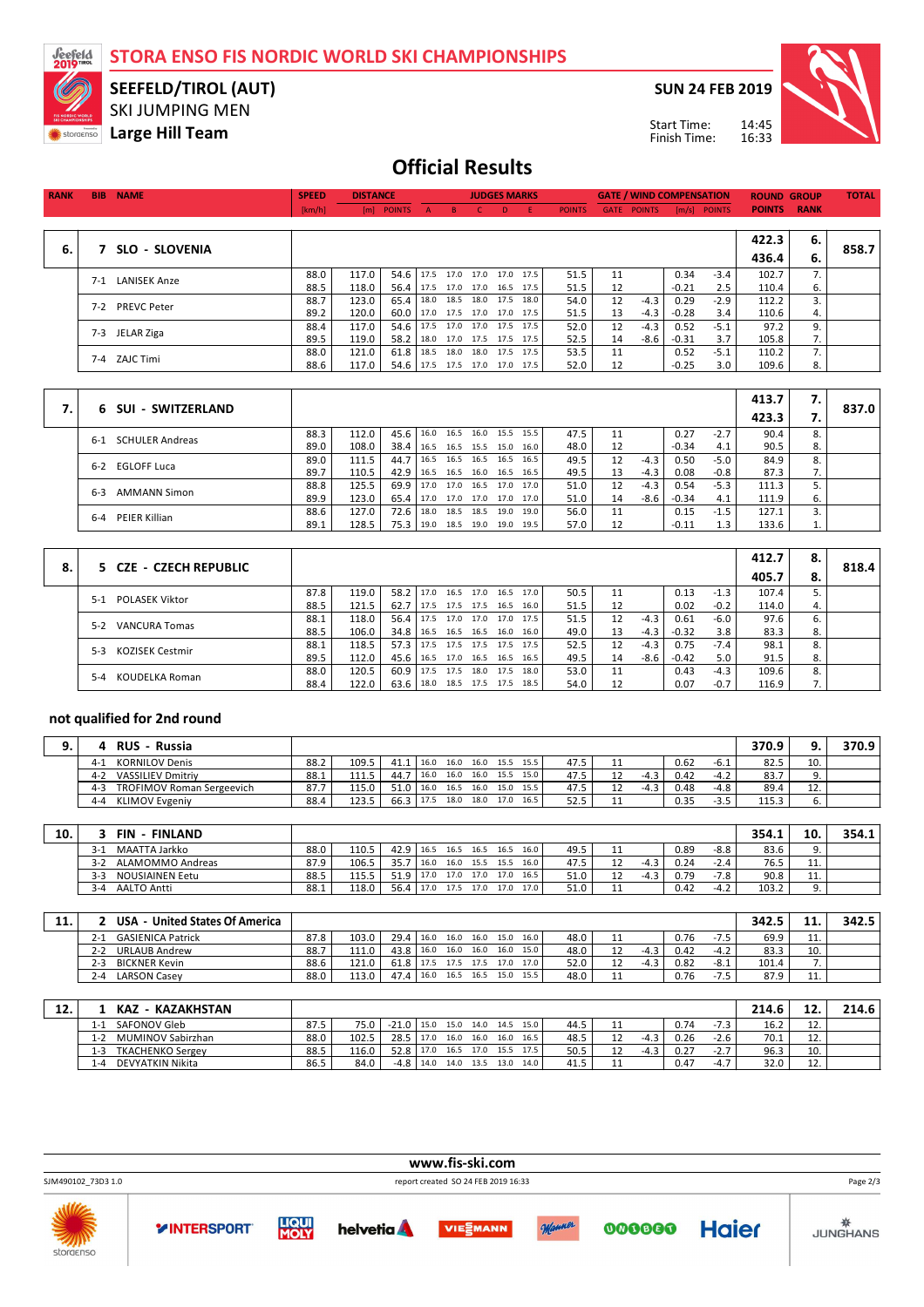**STORA ENSO FIS NORDIC WORLD SKI CHAMPIONSHIPS**



## SKI JUMPING MEN **SEEFELD/TIROL (AUT)**

**Large Hill Team** 

**SUN 24 FEB 2019**



14:45 16:33 Start Time: Finish Time:

## **Official Results**

| <b>RANK</b> | <b>BIB</b> | <b>NAME</b>         | <b>SPEED</b> | <b>DISTANCE</b> |                      |                          | <b>JUDGES MARKS</b> |                          |               |    | <b>GATE / WIND COMPENSATION</b> |         |              | <b>ROUND GROUP</b> |    | <b>TOTAL</b> |
|-------------|------------|---------------------|--------------|-----------------|----------------------|--------------------------|---------------------|--------------------------|---------------|----|---------------------------------|---------|--------------|--------------------|----|--------------|
|             |            |                     | [km/h]       |                 | [m] POINTS A B C D E |                          |                     |                          | <b>POINTS</b> |    | <b>GATE POINTS</b>              |         | [m/s] POINTS | <b>POINTS RANK</b> |    |              |
|             |            |                     |              |                 |                      |                          |                     |                          |               |    |                                 |         |              |                    |    |              |
|             |            |                     |              |                 |                      |                          |                     |                          |               |    |                                 |         |              | 422.3              | 6. |              |
| 6.          |            | SLO - SLOVENIA      |              |                 |                      |                          |                     |                          |               |    |                                 |         |              | 436.4              | 6. | 858.7        |
|             | $7 - 1$    | <b>LANISEK Anze</b> | 88.0         | 117.0           | 54.6                 |                          |                     | 17.5 17.0 17.0 17.0 17.5 | 51.5          | 11 |                                 | 0.34    | $-3.4$       | 102.7              |    |              |
|             |            |                     | 88.5         | 118.0           | 56.4                 | 17.5 17.0 17.0 16.5 17.5 |                     |                          | 51.5          | 12 |                                 | $-0.21$ | 2.5          | 110.4              | 6. |              |
|             | $7-2$      | <b>PREVC Peter</b>  | 88.7         | 123.0           | 65.4                 |                          |                     | 18.0 18.5 18.0 17.5 18.0 | 54.0          | 12 | $-4.3$                          | 0.29    | $-2.9$       | 112.2              | 3. |              |
|             |            |                     | 89.2         | 120.0           | 60.0 l               |                          |                     | 17.0 17.5 17.0 17.0 17.5 | 51.5          | 13 | $-4.3$                          | $-0.28$ | 3.4          | 110.6              | 4. |              |
|             | $7-3$      | JELAR Ziga          | 88.4         | 117.0           | 54.6                 |                          |                     | 17.5 17.0 17.0 17.5 17.5 | 52.0          | 12 | $-4.3$                          | 0.52    | $-5.1$       | 97.2               | 9. |              |
|             |            |                     | 89.5         | 119.0           | 58.2                 | 18.0 17.0 17.5 17.5 17.5 |                     |                          | 52.5          | 14 | -8.6                            | $-0.31$ | 3.7          | 105.8              | 7. |              |
|             |            | 7-4 ZAJC Timi       | 88.0         | 121.0           | 61.8                 |                          |                     | 18.5 18.0 18.0 17.5 17.5 | 53.5          | 11 |                                 | 0.52    | $-5.1$       | 110.2              |    |              |
|             |            |                     | 88.6         | 117.0           | 54.6                 |                          |                     | 17.5 17.5 17.0 17.0 17.5 | 52.0          | 12 |                                 | $-0.25$ | 3.0          | 109.6              | 8. |              |
|             |            |                     |              |                 |                      |                          |                     |                          |               |    |                                 |         |              |                    |    |              |

|    |                                 |      |       |      |           |                          |      |                |                |      |    |        |         |        | 413.7 | 7. |       |
|----|---------------------------------|------|-------|------|-----------|--------------------------|------|----------------|----------------|------|----|--------|---------|--------|-------|----|-------|
| 7. | 6 SUI - SWITZERLAND             |      |       |      |           |                          |      |                |                |      |    |        |         |        | 423.3 |    | 837.0 |
|    | <b>SCHULER Andreas</b><br>$6-1$ | 88.3 | 112.0 | 45.6 | 16.0      | 16.5                     |      | 16.0 15.5 15.5 |                | 47.5 |    |        | 0.27    | $-2.7$ | 90.4  |    |       |
|    |                                 | 89.0 | 108.0 | 38.4 | 16.5      | 16.5                     |      | 15.5 15.0 16.0 |                | 48.0 | 12 |        | $-0.34$ | 4.1    | 90.5  | 8. |       |
|    | <b>EGLOFF Luca</b><br>$6-2$     | 89.0 | 111.5 | 44.7 | 16.5      | 16.5                     | 16.5 | 16.5 16.5      |                | 49.5 | 12 | $-4.3$ | 0.50    | $-5.0$ | 84.9  |    |       |
|    |                                 | 89.7 | 110.5 | 42.9 |           | 16.5 16.5 16.0 16.5 16.5 |      |                |                | 49.5 | 13 | $-4.3$ | 0.08    | $-0.8$ | 87.3  |    |       |
|    | <b>AMMANN Simon</b><br>$6-3$    | 88.8 | 125.5 | 69.9 | 17.0 17.0 |                          |      |                | 16.5 17.0 17.0 | 51.0 | 12 | $-4.3$ | 0.54    | $-5.3$ | 111.3 |    |       |
|    |                                 | 89.9 | 123.0 | 65.4 |           | 17.0 17.0 17.0 17.0 17.0 |      |                |                | 51.0 | 14 | -8.6   | $-0.34$ | 4.1    | 111.9 | ь. |       |
|    | PEIER Killian                   | 88.6 | 127.0 | 72.6 | 18.0      | 18.5                     | 18.5 | 19.0 19.0      |                | 56.0 | 11 |        | 0.15    | $-1.5$ | 127.1 |    |       |
|    | 6-4                             | 89.1 | 128.5 | 75.3 | 19.0      | 18.5                     | 19.0 | 19.0 19.5      |                | 57.0 |    |        | $-0.11$ | 1.3    | 133.6 |    |       |

| 8. |         | 5 CZE - CZECH REPUBLIC |      |       |               |      |           |      |                |                |      |    |        |         |        | 412.7 | 8. |       |
|----|---------|------------------------|------|-------|---------------|------|-----------|------|----------------|----------------|------|----|--------|---------|--------|-------|----|-------|
|    |         |                        |      |       |               |      |           |      |                |                |      |    |        |         |        | 405.7 | 8. | 818.4 |
|    | $5-1$   | <b>POLASEK Viktor</b>  | 87.8 | 119.0 | 58.2          | 17.0 | 16.5      | 17.0 |                | 16.5 17.0      | 50.5 | 11 |        | 0.13    | $-1.3$ | 107.4 |    |       |
|    |         |                        | 88.5 | 121.5 | 62.7          | 17.5 | 17.5 17.5 |      | 16.5 16.0      |                | 51.5 |    |        | 0.02    | $-0.2$ | 114.0 | 4. |       |
|    | $5-2$   | VANCURA Tomas          | 88.1 | 118.0 | 56.4          | 17.5 | 17.0      |      | 17.0 17.0 17.5 |                | 51.5 | 12 | $-4.3$ | 0.61    | $-6.0$ | 97.6  |    |       |
|    |         |                        | 88.5 | 106.0 | $34.8$   16.5 |      | 16.5 16.5 |      | 16.0 16.0      |                | 49.0 | 13 | -4.3   | $-0.32$ | 3.8    | 83.3  |    |       |
|    | $5-3$   | <b>KOZISEK Cestmir</b> | 88.1 | 118.5 | 57.3          | 17.5 | 17.5      | 17.5 | 17.5 17.5      |                | 52.5 | 12 | -4.3   | 0.75    | $-7.4$ | 98.1  |    |       |
|    |         |                        | 89.5 | 112.0 | $45.6$   16.5 |      | 17.0      | 16.5 | 16.5 16.5      |                | 49.5 | 14 | -8.6 l | $-0.42$ | 5.0    | 91.5  | 8. |       |
|    | $5 - 4$ | KOUDELKA Roman         | 88.0 | 120.5 | 60.9          | 17.5 | 17.5      |      |                | 18.0 17.5 18.0 | 53.0 | 11 |        | 0.43    | $-4.3$ | 109.6 |    |       |
|    |         |                        | 88.4 | 122.0 | 63.6          | 18.0 | 18.5 17.5 |      | 17.5 18.5      |                | 54.0 |    |        | 0.07    | $-0.7$ | 116.9 |    |       |

## **not qualified for 2nd round**

 $\overline{\phantom{a}}$ 

|         | <b>RUS</b><br>- Russia           |      |       |             |      |      |                |      |      |      |    |        |      |        | 370.9 |           | 370.9 |
|---------|----------------------------------|------|-------|-------------|------|------|----------------|------|------|------|----|--------|------|--------|-------|-----------|-------|
| $4-1$   | <b>KORNILOV Denis</b>            | 88.2 | 109.5 | $41.1$ 16.0 |      | 16.0 | 16.0 15.5 15.5 |      |      | 47.5 |    |        | 0.62 | -6.1   | 82.5  | 10.       |       |
| 4-2     | <b>VASSILIEV Dmitriv</b>         | 88.1 | 111.5 | 44.7        | 16.0 | 16.0 | 16.0 15.5      |      | 15.0 | 47.5 |    | $-4.3$ | 0.42 | $-4.2$ | 83.7  |           |       |
| $4 - 3$ | <b>TROFIMOV Roman Sergeevich</b> | 87.7 | 115.0 | 51.0        | 16.0 | 16.5 | 16.0           | 15.0 | 15.5 | 47.5 |    | $-4.3$ | 0.48 | $-4.8$ | 89.4  | 12<br>TT. |       |
| $4 - 4$ | KLIMOV Evgeniy                   | 88.4 | 123.5 | 66.3        | 17.5 | 18.0 | 18.0           | 17.0 | 16.5 | 52.5 | -- |        | 0.35 | $-3.5$ | 115.3 |           |       |

| 10. | FIN<br>- FINLAND                |      |       |                               |      |                |      |           |      |        |      |        | 354.1 | 10.      | 354.1 |
|-----|---------------------------------|------|-------|-------------------------------|------|----------------|------|-----------|------|--------|------|--------|-------|----------|-------|
|     | MAATTA Jarkko<br>$3-1$          | 88.0 | 110.5 | 42.9 16.5 16.5 16.5 16.5 16.0 |      |                |      |           | 49.5 |        | 0.89 | $-8.8$ | 83.6  |          |       |
|     | ALAMOMMO Andreas<br>$3-2$       | 87.9 | 106.5 | 35.7                          | 16.0 | 16.0 15.5 15.5 |      | 16.0      | 47.5 | $-4.3$ | 0.24 | $-2.4$ | 76.5  | 11.      |       |
|     | $3-3$<br><b>NOUSIAINEN Eetu</b> | 88.5 | 115.5 | 51.9                          | 17.0 | 17.0 17.0      | 17.0 | 16.5      | 51.0 | $-4.3$ | 0.79 | -7.8   | 90.8  | 11.      |       |
|     | <b>AALTO Antti</b><br>$3 - 4$   | 88.1 | 118.0 | 56.4                          | 17.0 | 17.5 17.0      |      | 17.0 17.0 | 51.0 |        | 0.42 | $-4.2$ | 103.2 | <u>.</u> |       |

| 11. |         | <b>United States Of America</b><br>USA |      |       |      |      |      |           |      |        |      |            |        |      |            | 342.5 |         | 342.5 |
|-----|---------|----------------------------------------|------|-------|------|------|------|-----------|------|--------|------|------------|--------|------|------------|-------|---------|-------|
|     | 2-1     | <b>GASIENICA Patrick</b>               | 87.8 | 103.0 | 29.4 | 16.0 |      | 16.0 16.0 | 15.0 | 16.0 l | 48.0 |            |        | 0.76 |            | 69.9  | .       |       |
|     | 2-2     | <b>URLAUB Andrew</b>                   | 88.7 | 111.0 | 43.8 | 16.0 | 16.0 | 16.0      | 16.0 | 15.0   | 48.0 |            | $-4.3$ | 0.42 | $-4.2$     | 83.3  | 10.     |       |
|     | $2 - 3$ | <b>BICKNER Kevin</b>                   | 88.6 | 121.0 | 61.8 | 17.5 | 17.5 | 17.5      | 17.0 | 17.0   | 52.0 |            | $-4.3$ | 0.82 | -8.1       | 101.4 | ,,      |       |
|     |         | <b>LARSON Casev</b>                    | 88.0 | 113.0 | 47.4 | 16.0 | 16.5 | 16.5      | 15.0 | 15.5   | 48.0 | <b>. .</b> |        | 0.76 | 7.5<br>7.5 | 87.9  | <b></b> |       |

| 12. |         | - KAZAKHSTAN<br>KAZ     |      |       |                                  |      |           |                |      |           |      |     |        |      |        | 214.6 | 12           | 214.6 |
|-----|---------|-------------------------|------|-------|----------------------------------|------|-----------|----------------|------|-----------|------|-----|--------|------|--------|-------|--------------|-------|
|     | 1-1     | SAFONOV Gleb            | 87.5 | 75.0  | $-21.0$ 15.0 15.0 14.0 14.5 15.0 |      |           |                |      |           | 44.5 | + + |        | 0.74 | 72     | 16.2  | TZ.          |       |
|     | $1 - 2$ | MUMINOV Sabirzhan       | 88.0 | 102.5 | 28.5                             | 17.0 |           | 16.0 16.0      | 16.0 | 16.5      | 48.5 |     | $-4.3$ | 0.26 | $-2.6$ | 70.1  | $\sim$<br>ᅭᆇ |       |
|     | 1-3     | <b>TKACHENKO Sergey</b> | 88.5 | 116.0 | 52.8                             | 17.0 | 16.5 17.0 |                |      | 15.5 17.5 | 50.5 |     | -4.ء   | 0.27 | $-2.7$ | 96.3  | 10.          |       |
|     | . -4    | DEVYATKIN Nikita        | 86.5 | 84.0  | $-4.8$                           | 14.0 |           | 14.0 13.5 13.0 |      | 14.0      | 41.5 |     |        | 0.47 | $-4.7$ | 32.0  | 12<br>TZ.    |       |